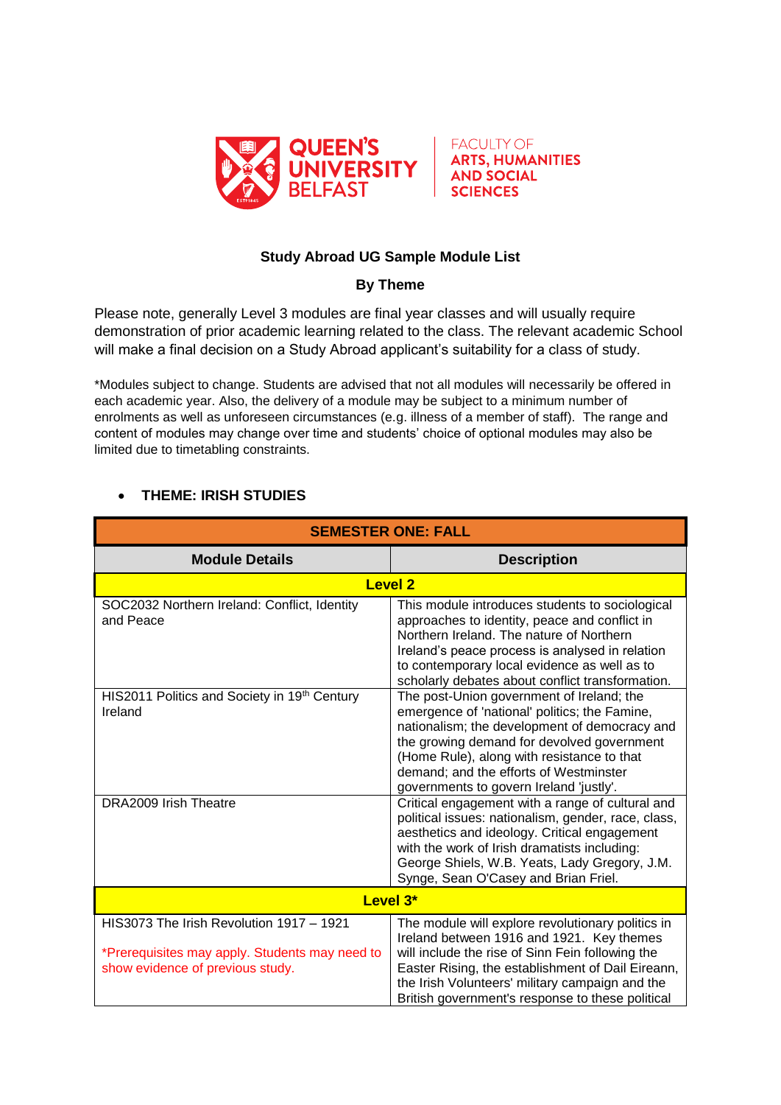



## **Study Abroad UG Sample Module List**

## **By Theme**

Please note, generally Level 3 modules are final year classes and will usually require demonstration of prior academic learning related to the class. The relevant academic School will make a final decision on a Study Abroad applicant's suitability for a class of study.

\*Modules subject to change. Students are advised that not all modules will necessarily be offered in each academic year. Also, the delivery of a module may be subject to a minimum number of enrolments as well as unforeseen circumstances (e.g. illness of a member of staff). The range and content of modules may change over time and students' choice of optional modules may also be limited due to timetabling constraints.

## **THEME: IRISH STUDIES**

| <b>SEMESTER ONE: FALL</b>                                                                                                      |                                                                                                                                                                                                                                                                                                                              |
|--------------------------------------------------------------------------------------------------------------------------------|------------------------------------------------------------------------------------------------------------------------------------------------------------------------------------------------------------------------------------------------------------------------------------------------------------------------------|
| <b>Module Details</b>                                                                                                          | <b>Description</b>                                                                                                                                                                                                                                                                                                           |
| <b>Level 2</b>                                                                                                                 |                                                                                                                                                                                                                                                                                                                              |
| SOC2032 Northern Ireland: Conflict, Identity<br>and Peace                                                                      | This module introduces students to sociological<br>approaches to identity, peace and conflict in<br>Northern Ireland. The nature of Northern<br>Ireland's peace process is analysed in relation<br>to contemporary local evidence as well as to<br>scholarly debates about conflict transformation.                          |
| HIS2011 Politics and Society in 19th Century<br>Ireland                                                                        | The post-Union government of Ireland; the<br>emergence of 'national' politics; the Famine,<br>nationalism; the development of democracy and<br>the growing demand for devolved government<br>(Home Rule), along with resistance to that<br>demand; and the efforts of Westminster<br>governments to govern Ireland 'justly'. |
| DRA2009 Irish Theatre                                                                                                          | Critical engagement with a range of cultural and<br>political issues: nationalism, gender, race, class,<br>aesthetics and ideology. Critical engagement<br>with the work of Irish dramatists including:<br>George Shiels, W.B. Yeats, Lady Gregory, J.M.<br>Synge, Sean O'Casey and Brian Friel.                             |
| Level 3*                                                                                                                       |                                                                                                                                                                                                                                                                                                                              |
| HIS3073 The Irish Revolution 1917 - 1921<br>*Prerequisites may apply. Students may need to<br>show evidence of previous study. | The module will explore revolutionary politics in<br>Ireland between 1916 and 1921. Key themes<br>will include the rise of Sinn Fein following the<br>Easter Rising, the establishment of Dail Eireann,<br>the Irish Volunteers' military campaign and the<br>British government's response to these political               |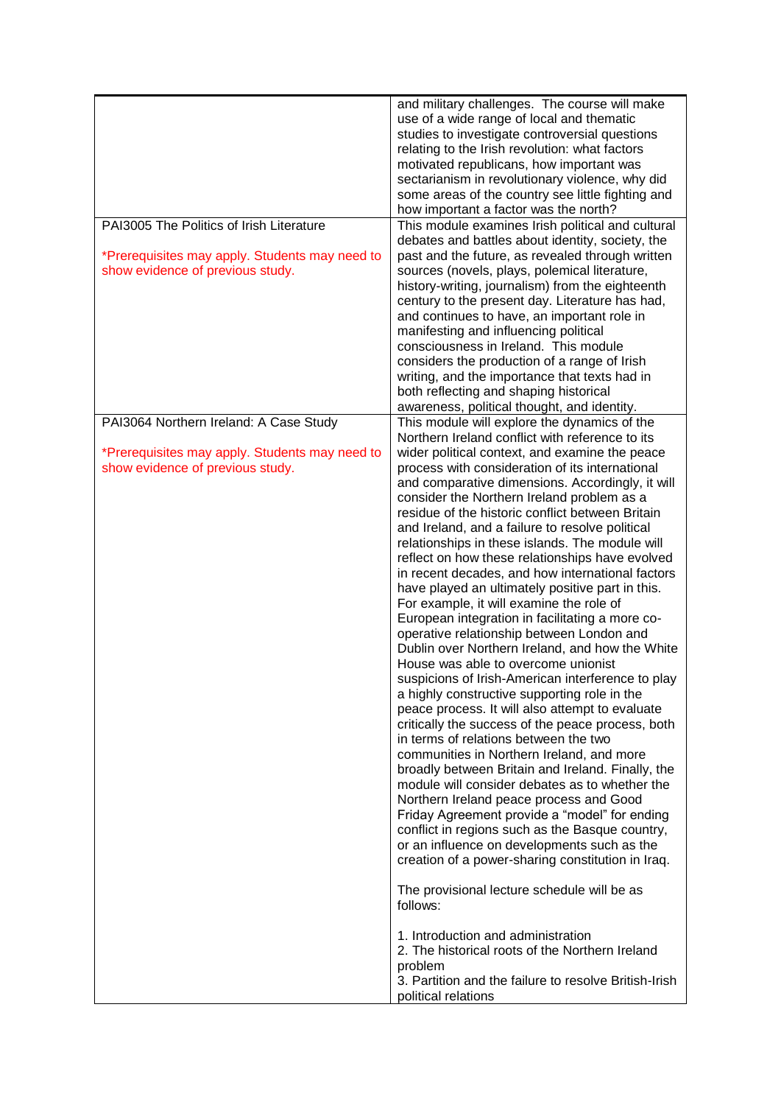| PAI3005 The Politics of Irish Literature<br>*Prerequisites may apply. Students may need to<br>show evidence of previous study. | and military challenges. The course will make<br>use of a wide range of local and thematic<br>studies to investigate controversial questions<br>relating to the Irish revolution: what factors<br>motivated republicans, how important was<br>sectarianism in revolutionary violence, why did<br>some areas of the country see little fighting and<br>how important a factor was the north?<br>This module examines Irish political and cultural<br>debates and battles about identity, society, the<br>past and the future, as revealed through written<br>sources (novels, plays, polemical literature,<br>history-writing, journalism) from the eighteenth<br>century to the present day. Literature has had,<br>and continues to have, an important role in<br>manifesting and influencing political<br>consciousness in Ireland. This module<br>considers the production of a range of Irish<br>writing, and the importance that texts had in                                                                                                                                                                                                                                                                                                                                                                                                                                                                                                                                                                             |
|--------------------------------------------------------------------------------------------------------------------------------|--------------------------------------------------------------------------------------------------------------------------------------------------------------------------------------------------------------------------------------------------------------------------------------------------------------------------------------------------------------------------------------------------------------------------------------------------------------------------------------------------------------------------------------------------------------------------------------------------------------------------------------------------------------------------------------------------------------------------------------------------------------------------------------------------------------------------------------------------------------------------------------------------------------------------------------------------------------------------------------------------------------------------------------------------------------------------------------------------------------------------------------------------------------------------------------------------------------------------------------------------------------------------------------------------------------------------------------------------------------------------------------------------------------------------------------------------------------------------------------------------------------------------------|
|                                                                                                                                | both reflecting and shaping historical                                                                                                                                                                                                                                                                                                                                                                                                                                                                                                                                                                                                                                                                                                                                                                                                                                                                                                                                                                                                                                                                                                                                                                                                                                                                                                                                                                                                                                                                                         |
|                                                                                                                                | awareness, political thought, and identity.                                                                                                                                                                                                                                                                                                                                                                                                                                                                                                                                                                                                                                                                                                                                                                                                                                                                                                                                                                                                                                                                                                                                                                                                                                                                                                                                                                                                                                                                                    |
| PAI3064 Northern Ireland: A Case Study<br>*Prerequisites may apply. Students may need to<br>show evidence of previous study.   | This module will explore the dynamics of the<br>Northern Ireland conflict with reference to its<br>wider political context, and examine the peace<br>process with consideration of its international<br>and comparative dimensions. Accordingly, it will<br>consider the Northern Ireland problem as a<br>residue of the historic conflict between Britain<br>and Ireland, and a failure to resolve political<br>relationships in these islands. The module will<br>reflect on how these relationships have evolved<br>in recent decades, and how international factors<br>have played an ultimately positive part in this.<br>For example, it will examine the role of<br>European integration in facilitating a more co-<br>operative relationship between London and<br>Dublin over Northern Ireland, and how the White<br>House was able to overcome unionist<br>suspicions of Irish-American interference to play<br>a highly constructive supporting role in the<br>peace process. It will also attempt to evaluate<br>critically the success of the peace process, both<br>in terms of relations between the two<br>communities in Northern Ireland, and more<br>broadly between Britain and Ireland. Finally, the<br>module will consider debates as to whether the<br>Northern Ireland peace process and Good<br>Friday Agreement provide a "model" for ending<br>conflict in regions such as the Basque country,<br>or an influence on developments such as the<br>creation of a power-sharing constitution in Iraq. |
|                                                                                                                                | The provisional lecture schedule will be as<br>follows:<br>1. Introduction and administration<br>2. The historical roots of the Northern Ireland<br>problem<br>3. Partition and the failure to resolve British-Irish<br>political relations                                                                                                                                                                                                                                                                                                                                                                                                                                                                                                                                                                                                                                                                                                                                                                                                                                                                                                                                                                                                                                                                                                                                                                                                                                                                                    |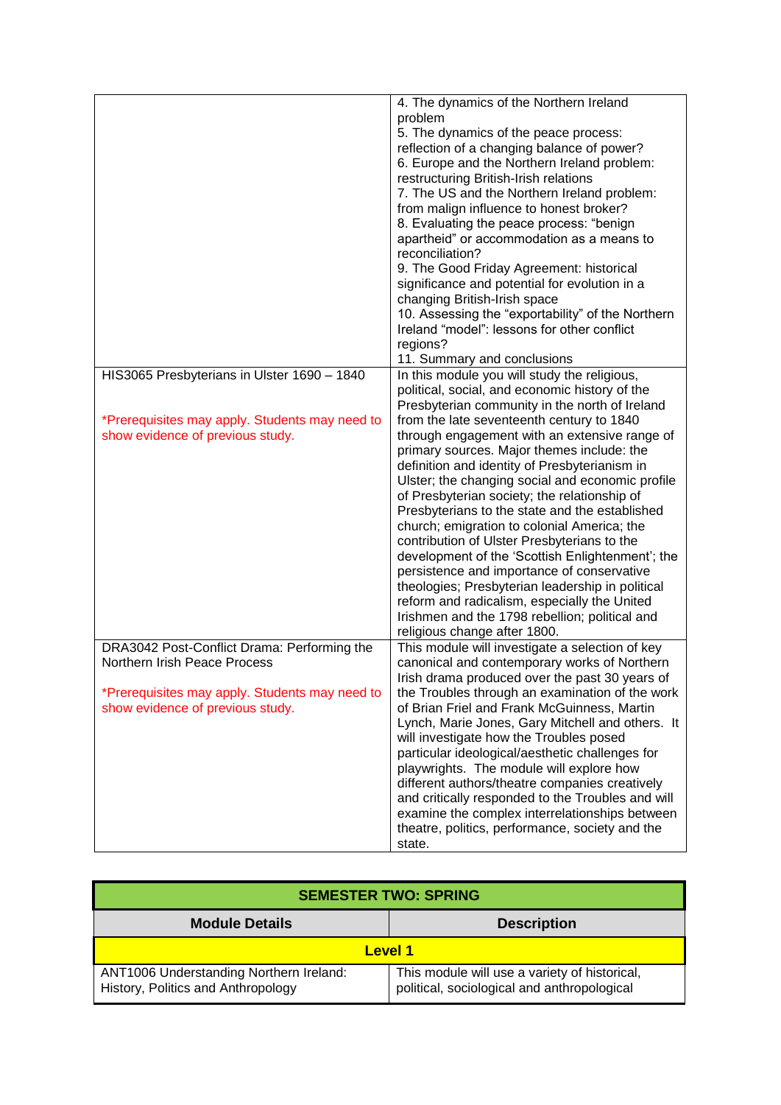|                                                                                                                                                                   | 4. The dynamics of the Northern Ireland<br>problem<br>5. The dynamics of the peace process:<br>reflection of a changing balance of power?<br>6. Europe and the Northern Ireland problem:<br>restructuring British-Irish relations<br>7. The US and the Northern Ireland problem:<br>from malign influence to honest broker?<br>8. Evaluating the peace process: "benign<br>apartheid" or accommodation as a means to<br>reconciliation?<br>9. The Good Friday Agreement: historical<br>significance and potential for evolution in a<br>changing British-Irish space<br>10. Assessing the "exportability" of the Northern<br>Ireland "model": lessons for other conflict                                                                                                                                                                                                                                                 |
|-------------------------------------------------------------------------------------------------------------------------------------------------------------------|--------------------------------------------------------------------------------------------------------------------------------------------------------------------------------------------------------------------------------------------------------------------------------------------------------------------------------------------------------------------------------------------------------------------------------------------------------------------------------------------------------------------------------------------------------------------------------------------------------------------------------------------------------------------------------------------------------------------------------------------------------------------------------------------------------------------------------------------------------------------------------------------------------------------------|
|                                                                                                                                                                   | regions?                                                                                                                                                                                                                                                                                                                                                                                                                                                                                                                                                                                                                                                                                                                                                                                                                                                                                                                 |
| HIS3065 Presbyterians in Ulster 1690 - 1840<br>*Prerequisites may apply. Students may need to<br>show evidence of previous study.                                 | 11. Summary and conclusions<br>In this module you will study the religious,<br>political, social, and economic history of the<br>Presbyterian community in the north of Ireland<br>from the late seventeenth century to 1840<br>through engagement with an extensive range of<br>primary sources. Major themes include: the<br>definition and identity of Presbyterianism in<br>Ulster; the changing social and economic profile<br>of Presbyterian society; the relationship of<br>Presbyterians to the state and the established<br>church; emigration to colonial America; the<br>contribution of Ulster Presbyterians to the<br>development of the 'Scottish Enlightenment'; the<br>persistence and importance of conservative<br>theologies; Presbyterian leadership in political<br>reform and radicalism, especially the United<br>Irishmen and the 1798 rebellion; political and<br>religious change after 1800. |
| DRA3042 Post-Conflict Drama: Performing the<br>Northern Irish Peace Process<br>*Prerequisites may apply. Students may need to<br>show evidence of previous study. | This module will investigate a selection of key<br>canonical and contemporary works of Northern<br>Irish drama produced over the past 30 years of<br>the Troubles through an examination of the work<br>of Brian Friel and Frank McGuinness, Martin<br>Lynch, Marie Jones, Gary Mitchell and others. It<br>will investigate how the Troubles posed<br>particular ideological/aesthetic challenges for<br>playwrights. The module will explore how<br>different authors/theatre companies creatively<br>and critically responded to the Troubles and will<br>examine the complex interrelationships between<br>theatre, politics, performance, society and the<br>state.                                                                                                                                                                                                                                                  |

| <b>SEMESTER TWO: SPRING</b>                                                   |                                                                                              |  |
|-------------------------------------------------------------------------------|----------------------------------------------------------------------------------------------|--|
| <b>Module Details</b>                                                         | <b>Description</b>                                                                           |  |
| Level 1                                                                       |                                                                                              |  |
| ANT1006 Understanding Northern Ireland:<br>History, Politics and Anthropology | This module will use a variety of historical,<br>political, sociological and anthropological |  |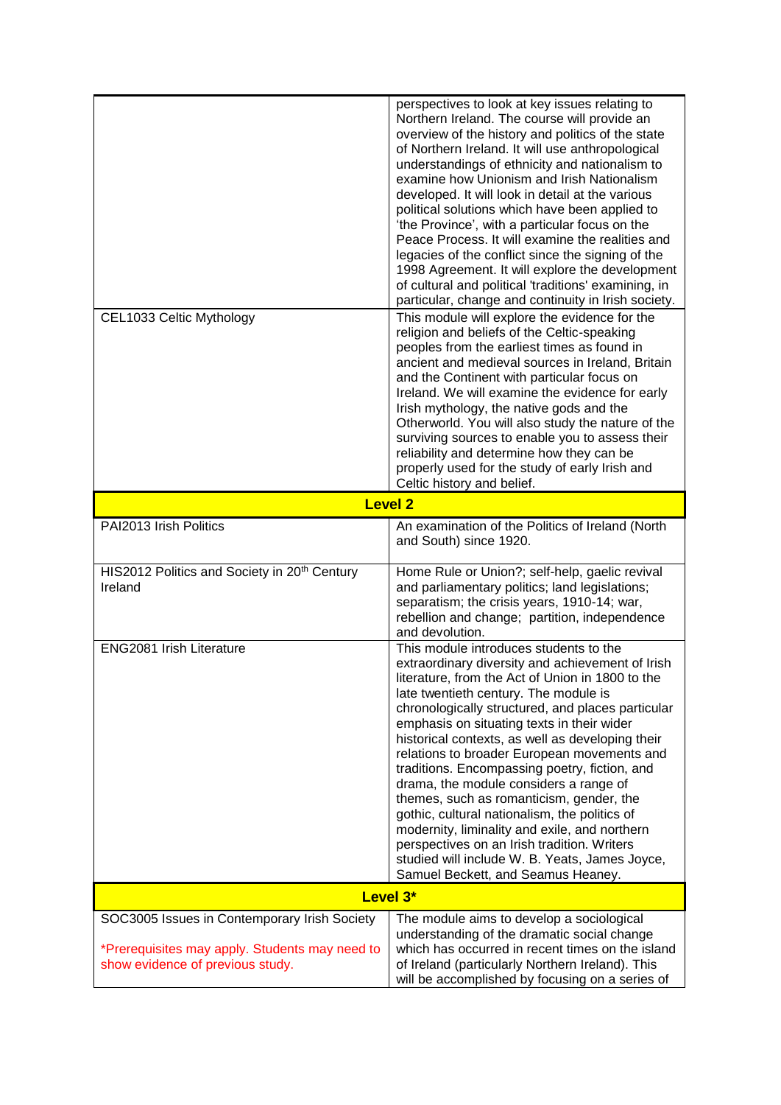|                                                                                                                                    | perspectives to look at key issues relating to<br>Northern Ireland. The course will provide an<br>overview of the history and politics of the state<br>of Northern Ireland. It will use anthropological<br>understandings of ethnicity and nationalism to<br>examine how Unionism and Irish Nationalism<br>developed. It will look in detail at the various<br>political solutions which have been applied to<br>'the Province', with a particular focus on the<br>Peace Process. It will examine the realities and<br>legacies of the conflict since the signing of the<br>1998 Agreement. It will explore the development<br>of cultural and political 'traditions' examining, in<br>particular, change and continuity in Irish society.                                    |  |
|------------------------------------------------------------------------------------------------------------------------------------|-------------------------------------------------------------------------------------------------------------------------------------------------------------------------------------------------------------------------------------------------------------------------------------------------------------------------------------------------------------------------------------------------------------------------------------------------------------------------------------------------------------------------------------------------------------------------------------------------------------------------------------------------------------------------------------------------------------------------------------------------------------------------------|--|
| CEL1033 Celtic Mythology                                                                                                           | This module will explore the evidence for the<br>religion and beliefs of the Celtic-speaking<br>peoples from the earliest times as found in<br>ancient and medieval sources in Ireland, Britain<br>and the Continent with particular focus on<br>Ireland. We will examine the evidence for early<br>Irish mythology, the native gods and the<br>Otherworld. You will also study the nature of the<br>surviving sources to enable you to assess their<br>reliability and determine how they can be<br>properly used for the study of early Irish and<br>Celtic history and belief.                                                                                                                                                                                             |  |
|                                                                                                                                    | <b>Level 2</b>                                                                                                                                                                                                                                                                                                                                                                                                                                                                                                                                                                                                                                                                                                                                                                |  |
| PAI2013 Irish Politics                                                                                                             | An examination of the Politics of Ireland (North<br>and South) since 1920.                                                                                                                                                                                                                                                                                                                                                                                                                                                                                                                                                                                                                                                                                                    |  |
| HIS2012 Politics and Society in 20 <sup>th</sup> Century<br>Ireland                                                                | Home Rule or Union?; self-help, gaelic revival<br>and parliamentary politics; land legislations;<br>separatism; the crisis years, 1910-14; war,<br>rebellion and change; partition, independence<br>and devolution.                                                                                                                                                                                                                                                                                                                                                                                                                                                                                                                                                           |  |
| ENG2081 Irish Literature                                                                                                           | This module introduces students to the<br>extraordinary diversity and achievement of Irish<br>literature, from the Act of Union in 1800 to the<br>late twentieth century. The module is<br>chronologically structured, and places particular<br>emphasis on situating texts in their wider<br>historical contexts, as well as developing their<br>relations to broader European movements and<br>traditions. Encompassing poetry, fiction, and<br>drama, the module considers a range of<br>themes, such as romanticism, gender, the<br>gothic, cultural nationalism, the politics of<br>modernity, liminality and exile, and northern<br>perspectives on an Irish tradition. Writers<br>studied will include W. B. Yeats, James Joyce,<br>Samuel Beckett, and Seamus Heaney. |  |
| Level 3*                                                                                                                           |                                                                                                                                                                                                                                                                                                                                                                                                                                                                                                                                                                                                                                                                                                                                                                               |  |
| SOC3005 Issues in Contemporary Irish Society<br>*Prerequisites may apply. Students may need to<br>show evidence of previous study. | The module aims to develop a sociological<br>understanding of the dramatic social change<br>which has occurred in recent times on the island<br>of Ireland (particularly Northern Ireland). This<br>will be accomplished by focusing on a series of                                                                                                                                                                                                                                                                                                                                                                                                                                                                                                                           |  |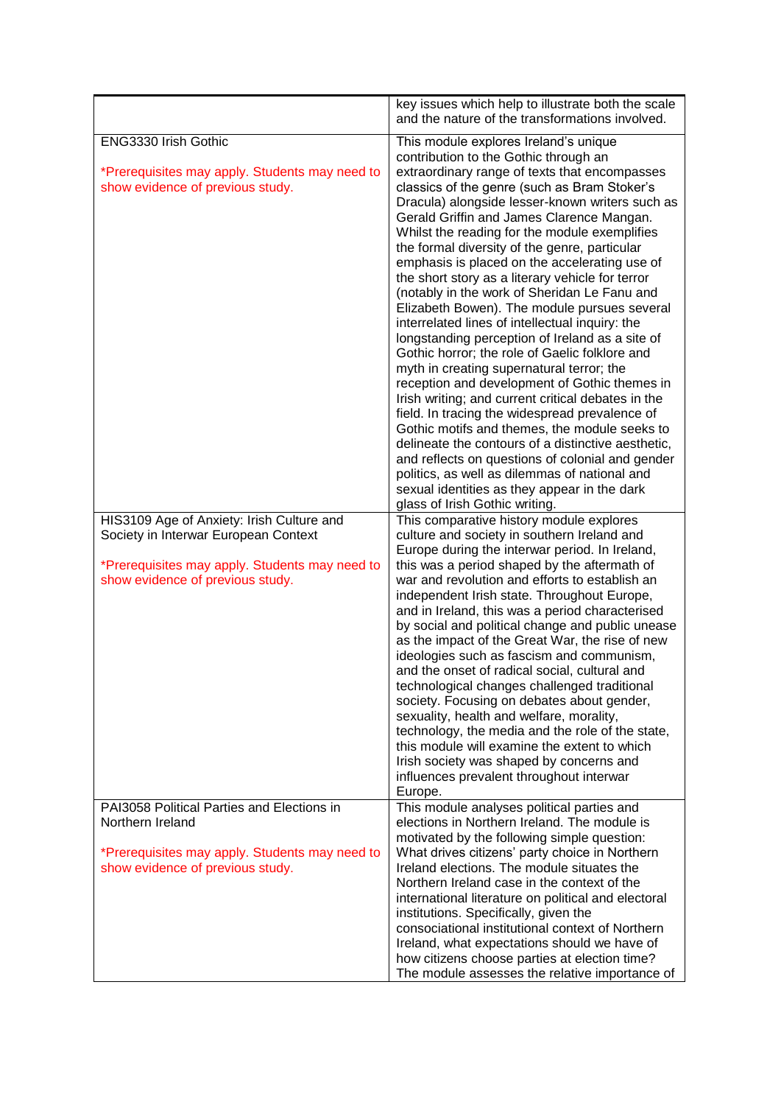|                                                                                                                                                                         | key issues which help to illustrate both the scale<br>and the nature of the transformations involved.                                                                                                                                                                                                                                                                                                                                                                                                                                                                                                                                                                                                                                                                                                                                                                                                                                                                                                                                                                                                                                                                                                                                              |
|-------------------------------------------------------------------------------------------------------------------------------------------------------------------------|----------------------------------------------------------------------------------------------------------------------------------------------------------------------------------------------------------------------------------------------------------------------------------------------------------------------------------------------------------------------------------------------------------------------------------------------------------------------------------------------------------------------------------------------------------------------------------------------------------------------------------------------------------------------------------------------------------------------------------------------------------------------------------------------------------------------------------------------------------------------------------------------------------------------------------------------------------------------------------------------------------------------------------------------------------------------------------------------------------------------------------------------------------------------------------------------------------------------------------------------------|
| ENG3330 Irish Gothic<br>*Prerequisites may apply. Students may need to<br>show evidence of previous study.                                                              | This module explores Ireland's unique<br>contribution to the Gothic through an<br>extraordinary range of texts that encompasses<br>classics of the genre (such as Bram Stoker's<br>Dracula) alongside lesser-known writers such as<br>Gerald Griffin and James Clarence Mangan.<br>Whilst the reading for the module exemplifies<br>the formal diversity of the genre, particular<br>emphasis is placed on the accelerating use of<br>the short story as a literary vehicle for terror<br>(notably in the work of Sheridan Le Fanu and<br>Elizabeth Bowen). The module pursues several<br>interrelated lines of intellectual inquiry: the<br>longstanding perception of Ireland as a site of<br>Gothic horror; the role of Gaelic folklore and<br>myth in creating supernatural terror; the<br>reception and development of Gothic themes in<br>Irish writing; and current critical debates in the<br>field. In tracing the widespread prevalence of<br>Gothic motifs and themes, the module seeks to<br>delineate the contours of a distinctive aesthetic,<br>and reflects on questions of colonial and gender<br>politics, as well as dilemmas of national and<br>sexual identities as they appear in the dark<br>glass of Irish Gothic writing. |
| HIS3109 Age of Anxiety: Irish Culture and<br>Society in Interwar European Context<br>*Prerequisites may apply. Students may need to<br>show evidence of previous study. | This comparative history module explores<br>culture and society in southern Ireland and<br>Europe during the interwar period. In Ireland,<br>this was a period shaped by the aftermath of<br>war and revolution and efforts to establish an<br>independent Irish state. Throughout Europe,<br>and in Ireland, this was a period characterised<br>by social and political change and public unease<br>as the impact of the Great War, the rise of new<br>ideologies such as fascism and communism,<br>and the onset of radical social, cultural and<br>technological changes challenged traditional<br>society. Focusing on debates about gender,<br>sexuality, health and welfare, morality,<br>technology, the media and the role of the state,<br>this module will examine the extent to which<br>Irish society was shaped by concerns and<br>influences prevalent throughout interwar<br>Europe.                                                                                                                                                                                                                                                                                                                                                |
| PAI3058 Political Parties and Elections in<br>Northern Ireland<br>*Prerequisites may apply. Students may need to<br>show evidence of previous study.                    | This module analyses political parties and<br>elections in Northern Ireland. The module is<br>motivated by the following simple question:<br>What drives citizens' party choice in Northern<br>Ireland elections. The module situates the<br>Northern Ireland case in the context of the<br>international literature on political and electoral<br>institutions. Specifically, given the<br>consociational institutional context of Northern<br>Ireland, what expectations should we have of<br>how citizens choose parties at election time?<br>The module assesses the relative importance of                                                                                                                                                                                                                                                                                                                                                                                                                                                                                                                                                                                                                                                    |